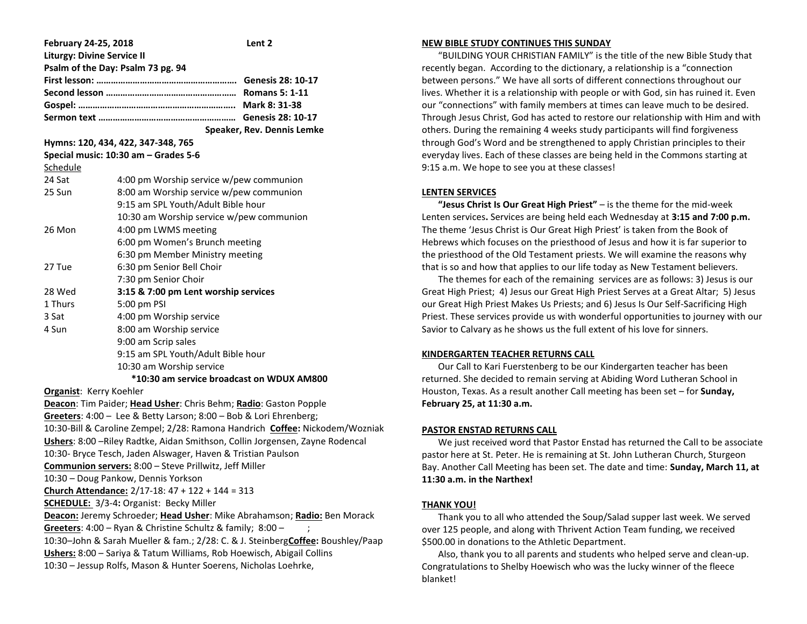| February 24-25, 2018                                                                                                                     |                                          | Lent <sub>2</sub> |  |
|------------------------------------------------------------------------------------------------------------------------------------------|------------------------------------------|-------------------|--|
| <b>Liturgy: Divine Service II</b><br>Psalm of the Day: Psalm 73 pg. 94                                                                   |                                          |                   |  |
|                                                                                                                                          |                                          |                   |  |
|                                                                                                                                          |                                          |                   |  |
|                                                                                                                                          |                                          |                   |  |
|                                                                                                                                          |                                          |                   |  |
| Speaker, Rev. Dennis Lemke                                                                                                               |                                          |                   |  |
| Hymns: 120, 434, 422, 347-348, 765                                                                                                       |                                          |                   |  |
| Special music: 10:30 am - Grades 5-6                                                                                                     |                                          |                   |  |
| Schedule                                                                                                                                 |                                          |                   |  |
| 24 Sat                                                                                                                                   | 4:00 pm Worship service w/pew communion  |                   |  |
| 25 Sun                                                                                                                                   | 8:00 am Worship service w/pew communion  |                   |  |
|                                                                                                                                          | 9:15 am SPL Youth/Adult Bible hour       |                   |  |
|                                                                                                                                          | 10:30 am Worship service w/pew communion |                   |  |
| 26 Mon                                                                                                                                   | 4:00 pm LWMS meeting                     |                   |  |
|                                                                                                                                          | 6:00 pm Women's Brunch meeting           |                   |  |
|                                                                                                                                          | 6:30 pm Member Ministry meeting          |                   |  |
| 27 Tue                                                                                                                                   | 6:30 pm Senior Bell Choir                |                   |  |
|                                                                                                                                          | 7:30 pm Senior Choir                     |                   |  |
| 28 Wed                                                                                                                                   | 3:15 & 7:00 pm Lent worship services     |                   |  |
| 1 Thurs                                                                                                                                  | 5:00 pm PSI                              |                   |  |
| 3 Sat                                                                                                                                    | 4:00 pm Worship service                  |                   |  |
| 4 Sun                                                                                                                                    | 8:00 am Worship service                  |                   |  |
|                                                                                                                                          | 9:00 am Scrip sales                      |                   |  |
|                                                                                                                                          | 9:15 am SPL Youth/Adult Bible hour       |                   |  |
| 10:30 am Worship service                                                                                                                 |                                          |                   |  |
| *10:30 am service broadcast on WDUX AM800                                                                                                |                                          |                   |  |
| <b>Organist: Kerry Koehler</b>                                                                                                           |                                          |                   |  |
| Deacon: Tim Paider; Head Usher: Chris Behm; Radio: Gaston Popple                                                                         |                                          |                   |  |
| Greeters: 4:00 - Lee & Betty Larson; 8:00 - Bob & Lori Ehrenberg;                                                                        |                                          |                   |  |
| 10:30-Bill & Caroline Zempel; 2/28: Ramona Handrich Coffee: Nickodem/Wozniak                                                             |                                          |                   |  |
| Ushers: 8:00 - Riley Radtke, Aidan Smithson, Collin Jorgensen, Zayne Rodencal                                                            |                                          |                   |  |
| 10:30- Bryce Tesch, Jaden Alswager, Haven & Tristian Paulson                                                                             |                                          |                   |  |
| Communion servers: 8:00 - Steve Prillwitz, Jeff Miller                                                                                   |                                          |                   |  |
| 10:30 - Doug Pankow, Dennis Yorkson                                                                                                      |                                          |                   |  |
| Church Attendance: 2/17-18: 47 + 122 + 144 = 313                                                                                         |                                          |                   |  |
| SCHEDULE: 3/3-4: Organist: Becky Miller                                                                                                  |                                          |                   |  |
| Deacon: Jeremy Schroeder; Head Usher: Mike Abrahamson; Radio: Ben Morack                                                                 |                                          |                   |  |
| Greeters: 4:00 - Ryan & Christine Schultz & family; 8:00 -                                                                               |                                          |                   |  |
| 10:30-John & Sarah Mueller & fam.; 2/28: C. & J. SteinbergCoffee: Boushley/Paap                                                          |                                          |                   |  |
| Ushers: 8:00 - Sariya & Tatum Williams, Rob Hoewisch, Abigail Collins<br>10:30 - Jessup Rolfs, Mason & Hunter Soerens, Nicholas Loehrke, |                                          |                   |  |
|                                                                                                                                          |                                          |                   |  |

#### **NEW BIBLE STUDY CONTINUES THIS SUNDAY**

 "BUILDING YOUR CHRISTIAN FAMILY" is the title of the new Bible Study that recently began. According to the dictionary, a relationship is a "connection between persons." We have all sorts of different connections throughout our lives. Whether it is a relationship with people or with God, sin has ruined it. Even our "connections" with family members at times can leave much to be desired. Through Jesus Christ, God has acted to restore our relationship with Him and with others. During the remaining 4 weeks study participants will find forgiveness through God's Word and be strengthened to apply Christian principles to their everyday lives. Each of these classes are being held in the Commons starting at 9:15 a.m. We hope to see you at these classes!

#### **LENTEN SERVICES**

 **"Jesus Christ Is Our Great High Priest"** – is the theme for the mid-week Lenten services**.** Services are being held each Wednesday at **3:15 and 7:00 p.m.** The theme 'Jesus Christ is Our Great High Priest' is taken from the Book of Hebrews which focuses on the priesthood of Jesus and how it is far superior to the priesthood of the Old Testament priests. We will examine the reasons why that is so and how that applies to our life today as New Testament believers.

 The themes for each of the remaining services are as follows: 3) Jesus is our Great High Priest; 4) Jesus our Great High Priest Serves at a Great Altar; 5) Jesus our Great High Priest Makes Us Priests; and 6) Jesus Is Our Self-Sacrificing High Priest. These services provide us with wonderful opportunities to journey with our Savior to Calvary as he shows us the full extent of his love for sinners.

#### **KINDERGARTEN TEACHER RETURNS CALL**

 Our Call to Kari Fuerstenberg to be our Kindergarten teacher has been returned. She decided to remain serving at Abiding Word Lutheran School in Houston, Texas. As a result another Call meeting has been set – for **Sunday, February 25, at 11:30 a.m.**

#### **PASTOR ENSTAD RETURNS CALL**

 We just received word that Pastor Enstad has returned the Call to be associate pastor here at St. Peter. He is remaining at St. John Lutheran Church, Sturgeon Bay. Another Call Meeting has been set. The date and time: **Sunday, March 11, at 11:30 a.m. in the Narthex!** 

# **THANK YOU!**

 Thank you to all who attended the Soup/Salad supper last week. We served over 125 people, and along with Thrivent Action Team funding, we received \$500.00 in donations to the Athletic Department.

 Also, thank you to all parents and students who helped serve and clean-up. Congratulations to Shelby Hoewisch who was the lucky winner of the fleece blanket!